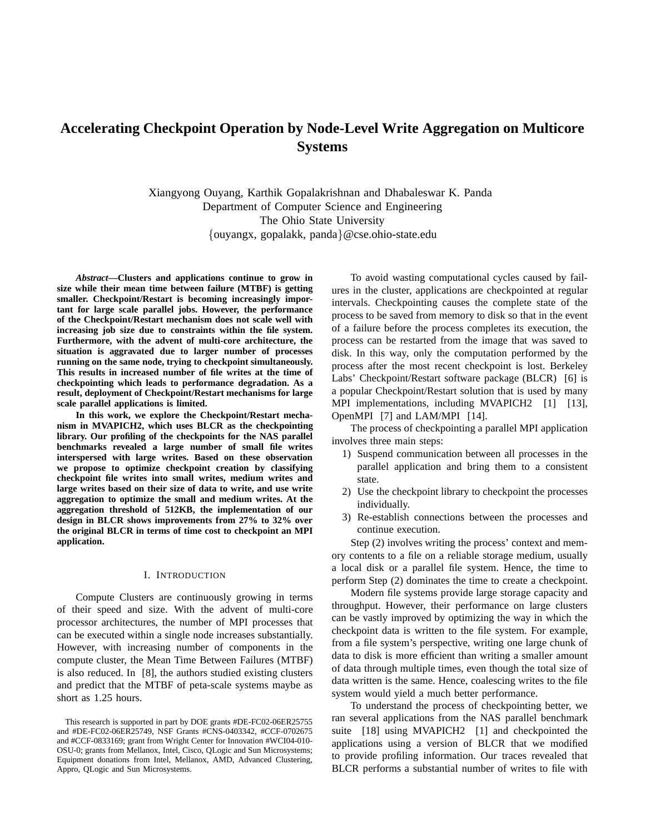# **Accelerating Checkpoint Operation by Node-Level Write Aggregation on Multicore Systems**

Xiangyong Ouyang, Karthik Gopalakrishnan and Dhabaleswar K. Panda Department of Computer Science and Engineering The Ohio State University {ouyangx, gopalakk, panda}@cse.ohio-state.edu

*Abstract***—Clusters and applications continue to grow in size while their mean time between failure (MTBF) is getting smaller. Checkpoint/Restart is becoming increasingly important for large scale parallel jobs. However, the performance of the Checkpoint/Restart mechanism does not scale well with increasing job size due to constraints within the file system. Furthermore, with the advent of multi-core architecture, the situation is aggravated due to larger number of processes running on the same node, trying to checkpoint simultaneously. This results in increased number of file writes at the time of checkpointing which leads to performance degradation. As a result, deployment of Checkpoint/Restart mechanisms for large scale parallel applications is limited.**

**In this work, we explore the Checkpoint/Restart mechanism in MVAPICH2, which uses BLCR as the checkpointing library. Our profiling of the checkpoints for the NAS parallel benchmarks revealed a large number of small file writes interspersed with large writes. Based on these observation we propose to optimize checkpoint creation by classifying checkpoint file writes into small writes, medium writes and large writes based on their size of data to write, and use write aggregation to optimize the small and medium writes. At the aggregation threshold of 512KB, the implementation of our design in BLCR shows improvements from 27% to 32% over the original BLCR in terms of time cost to checkpoint an MPI application.**

#### I. INTRODUCTION

Compute Clusters are continuously growing in terms of their speed and size. With the advent of multi-core processor architectures, the number of MPI processes that can be executed within a single node increases substantially. However, with increasing number of components in the compute cluster, the Mean Time Between Failures (MTBF) is also reduced. In [8], the authors studied existing clusters and predict that the MTBF of peta-scale systems maybe as short as 1.25 hours.

To avoid wasting computational cycles caused by failures in the cluster, applications are checkpointed at regular intervals. Checkpointing causes the complete state of the process to be saved from memory to disk so that in the event of a failure before the process completes its execution, the process can be restarted from the image that was saved to disk. In this way, only the computation performed by the process after the most recent checkpoint is lost. Berkeley Labs' Checkpoint/Restart software package (BLCR) [6] is a popular Checkpoint/Restart solution that is used by many MPI implementations, including MVAPICH2 [1] [13], OpenMPI [7] and LAM/MPI [14].

The process of checkpointing a parallel MPI application involves three main steps:

- 1) Suspend communication between all processes in the parallel application and bring them to a consistent state.
- 2) Use the checkpoint library to checkpoint the processes individually.
- 3) Re-establish connections between the processes and continue execution.

Step (2) involves writing the process' context and memory contents to a file on a reliable storage medium, usually a local disk or a parallel file system. Hence, the time to perform Step (2) dominates the time to create a checkpoint.

Modern file systems provide large storage capacity and throughput. However, their performance on large clusters can be vastly improved by optimizing the way in which the checkpoint data is written to the file system. For example, from a file system's perspective, writing one large chunk of data to disk is more efficient than writing a smaller amount of data through multiple times, even though the total size of data written is the same. Hence, coalescing writes to the file system would yield a much better performance.

To understand the process of checkpointing better, we ran several applications from the NAS parallel benchmark suite [18] using MVAPICH2 [1] and checkpointed the applications using a version of BLCR that we modified to provide profiling information. Our traces revealed that BLCR performs a substantial number of writes to file with

This research is supported in part by DOE grants #DE-FC02-06ER25755 and #DE-FC02-06ER25749, NSF Grants #CNS-0403342, #CCF-0702675 and #CCF-0833169; grant from Wright Center for Innovation #WCI04-010- OSU-0; grants from Mellanox, Intel, Cisco, QLogic and Sun Microsystems; Equipment donations from Intel, Mellanox, AMD, Advanced Clustering, Appro, QLogic and Sun Microsystems.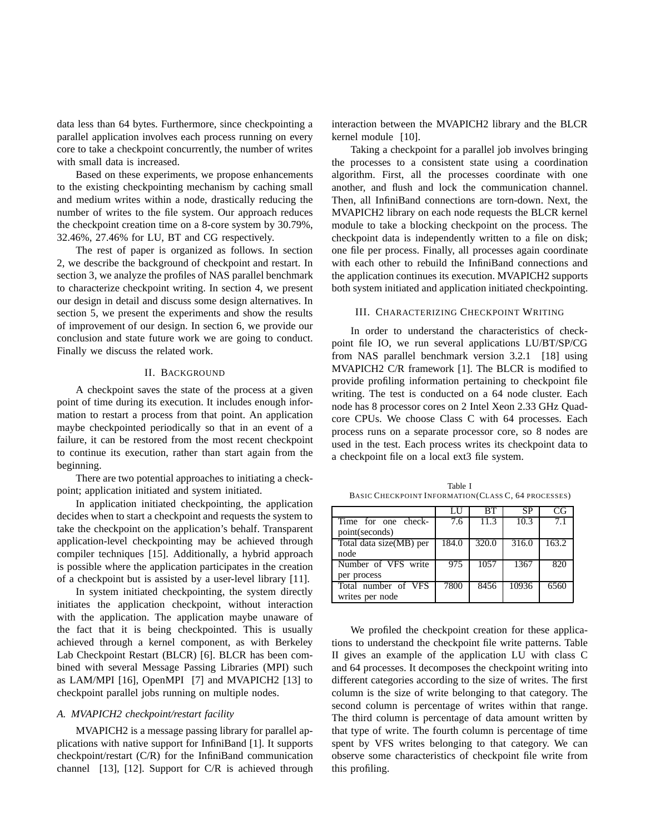data less than 64 bytes. Furthermore, since checkpointing a parallel application involves each process running on every core to take a checkpoint concurrently, the number of writes with small data is increased.

Based on these experiments, we propose enhancements to the existing checkpointing mechanism by caching small and medium writes within a node, drastically reducing the number of writes to the file system. Our approach reduces the checkpoint creation time on a 8-core system by 30.79%, 32.46%, 27.46% for LU, BT and CG respectively.

The rest of paper is organized as follows. In section 2, we describe the background of checkpoint and restart. In section 3, we analyze the profiles of NAS parallel benchmark to characterize checkpoint writing. In section 4, we present our design in detail and discuss some design alternatives. In section 5, we present the experiments and show the results of improvement of our design. In section 6, we provide our conclusion and state future work we are going to conduct. Finally we discuss the related work.

#### II. BACKGROUND

A checkpoint saves the state of the process at a given point of time during its execution. It includes enough information to restart a process from that point. An application maybe checkpointed periodically so that in an event of a failure, it can be restored from the most recent checkpoint to continue its execution, rather than start again from the beginning.

There are two potential approaches to initiating a checkpoint; application initiated and system initiated.

In application initiated checkpointing, the application decides when to start a checkpoint and requests the system to take the checkpoint on the application's behalf. Transparent application-level checkpointing may be achieved through compiler techniques [15]. Additionally, a hybrid approach is possible where the application participates in the creation of a checkpoint but is assisted by a user-level library [11].

In system initiated checkpointing, the system directly initiates the application checkpoint, without interaction with the application. The application maybe unaware of the fact that it is being checkpointed. This is usually achieved through a kernel component, as with Berkeley Lab Checkpoint Restart (BLCR) [6]. BLCR has been combined with several Message Passing Libraries (MPI) such as LAM/MPI [16], OpenMPI [7] and MVAPICH2 [13] to checkpoint parallel jobs running on multiple nodes.

## *A. MVAPICH2 checkpoint/restart facility*

MVAPICH2 is a message passing library for parallel applications with native support for InfiniBand [1]. It supports checkpoint/restart (C/R) for the InfiniBand communication channel [13], [12]. Support for C/R is achieved through interaction between the MVAPICH2 library and the BLCR kernel module [10].

Taking a checkpoint for a parallel job involves bringing the processes to a consistent state using a coordination algorithm. First, all the processes coordinate with one another, and flush and lock the communication channel. Then, all InfiniBand connections are torn-down. Next, the MVAPICH2 library on each node requests the BLCR kernel module to take a blocking checkpoint on the process. The checkpoint data is independently written to a file on disk; one file per process. Finally, all processes again coordinate with each other to rebuild the InfiniBand connections and the application continues its execution. MVAPICH2 supports both system initiated and application initiated checkpointing.

#### III. CHARACTERIZING CHECKPOINT WRITING

In order to understand the characteristics of checkpoint file IO, we run several applications LU/BT/SP/CG from NAS parallel benchmark version 3.2.1 [18] using MVAPICH2 C/R framework [1]. The BLCR is modified to provide profiling information pertaining to checkpoint file writing. The test is conducted on a 64 node cluster. Each node has 8 processor cores on 2 Intel Xeon 2.33 GHz Quadcore CPUs. We choose Class C with 64 processes. Each process runs on a separate processor core, so 8 nodes are used in the test. Each process writes its checkpoint data to a checkpoint file on a local ext3 file system.

Table I BASIC CHECKPOINT INFORMATION(CLASS C, 64 PROCESSES)

|                         | LU    | <b>BT</b> | <b>SP</b> | CG    |
|-------------------------|-------|-----------|-----------|-------|
| Time for one check-     | 7.6   | 11.3      | 10.3      | 7.1   |
| point(seconds)          |       |           |           |       |
| Total data size(MB) per | 184.0 | 320.0     | 316.0     | 163.2 |
| node                    |       |           |           |       |
| Number of VFS write     | 975   | 1057      | 1367      | 820   |
| per process             |       |           |           |       |
| Total number of VFS     | 7800  | 8456      | 10936     | 6560  |
| writes per node         |       |           |           |       |

We profiled the checkpoint creation for these applications to understand the checkpoint file write patterns. Table II gives an example of the application LU with class C and 64 processes. It decomposes the checkpoint writing into different categories according to the size of writes. The first column is the size of write belonging to that category. The second column is percentage of writes within that range. The third column is percentage of data amount written by that type of write. The fourth column is percentage of time spent by VFS writes belonging to that category. We can observe some characteristics of checkpoint file write from this profiling.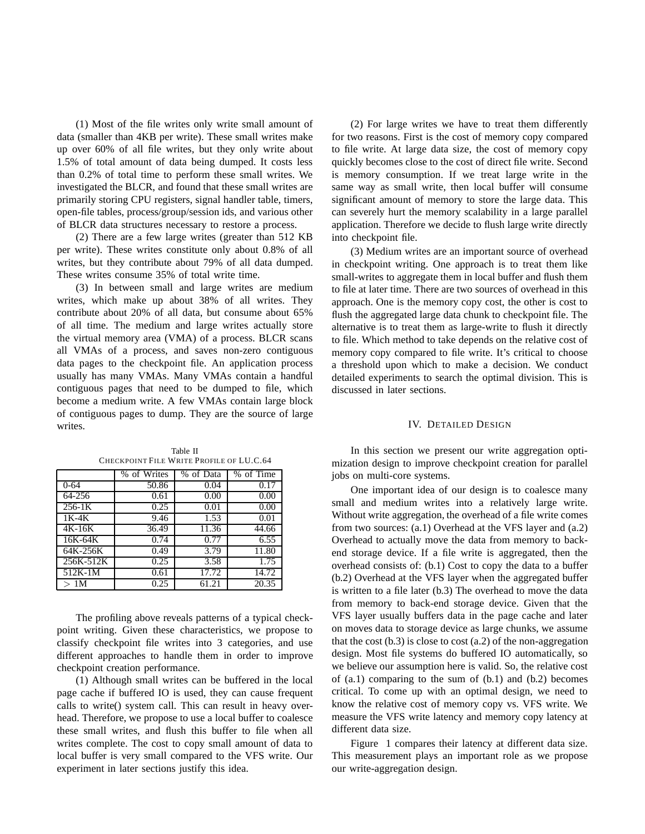(1) Most of the file writes only write small amount of data (smaller than 4KB per write). These small writes make up over 60% of all file writes, but they only write about 1.5% of total amount of data being dumped. It costs less than 0.2% of total time to perform these small writes. We investigated the BLCR, and found that these small writes are primarily storing CPU registers, signal handler table, timers, open-file tables, process/group/session ids, and various other of BLCR data structures necessary to restore a process.

(2) There are a few large writes (greater than 512 KB per write). These writes constitute only about 0.8% of all writes, but they contribute about 79% of all data dumped. These writes consume 35% of total write time.

(3) In between small and large writes are medium writes, which make up about 38% of all writes. They contribute about 20% of all data, but consume about 65% of all time. The medium and large writes actually store the virtual memory area (VMA) of a process. BLCR scans all VMAs of a process, and saves non-zero contiguous data pages to the checkpoint file. An application process usually has many VMAs. Many VMAs contain a handful contiguous pages that need to be dumped to file, which become a medium write. A few VMAs contain large block of contiguous pages to dump. They are the source of large writes.

| Table II                                 |
|------------------------------------------|
| CHECKPOINT FILE WRITE PROFILE OF LU.C.64 |

|            | % of Writes       | % of Data | % of Time |
|------------|-------------------|-----------|-----------|
| $0 - 64$   | 50.86             | 0.04      | 0.17      |
| 64-256     | 0.61              | 0.00      | 0.00      |
| $256 - 1K$ | $\overline{0.25}$ | 0.01      | 0.00      |
| $1K-4K$    | 9.46              | 1.53      | 0.01      |
| $4K-16K$   | 36.49             | 11.36     | 44.66     |
| 16K-64K    | 0.74              | 0.77      | 6.55      |
| 64K-256K   | 0.49              | 3.79      | 11.80     |
| 256K-512K  | 0.25              | 3.58      | 1.75      |
| $512K-1M$  | 0.61              | 17.72     | 14.72     |
| >1M        | 0.25              | 61.21     | 20.35     |

The profiling above reveals patterns of a typical checkpoint writing. Given these characteristics, we propose to classify checkpoint file writes into 3 categories, and use different approaches to handle them in order to improve checkpoint creation performance.

(1) Although small writes can be buffered in the local page cache if buffered IO is used, they can cause frequent calls to write() system call. This can result in heavy overhead. Therefore, we propose to use a local buffer to coalesce these small writes, and flush this buffer to file when all writes complete. The cost to copy small amount of data to local buffer is very small compared to the VFS write. Our experiment in later sections justify this idea.

(2) For large writes we have to treat them differently for two reasons. First is the cost of memory copy compared to file write. At large data size, the cost of memory copy quickly becomes close to the cost of direct file write. Second is memory consumption. If we treat large write in the same way as small write, then local buffer will consume significant amount of memory to store the large data. This can severely hurt the memory scalability in a large parallel application. Therefore we decide to flush large write directly into checkpoint file.

(3) Medium writes are an important source of overhead in checkpoint writing. One approach is to treat them like small-writes to aggregate them in local buffer and flush them to file at later time. There are two sources of overhead in this approach. One is the memory copy cost, the other is cost to flush the aggregated large data chunk to checkpoint file. The alternative is to treat them as large-write to flush it directly to file. Which method to take depends on the relative cost of memory copy compared to file write. It's critical to choose a threshold upon which to make a decision. We conduct detailed experiments to search the optimal division. This is discussed in later sections.

## IV. DETAILED DESIGN

In this section we present our write aggregation optimization design to improve checkpoint creation for parallel jobs on multi-core systems.

One important idea of our design is to coalesce many small and medium writes into a relatively large write. Without write aggregation, the overhead of a file write comes from two sources: (a.1) Overhead at the VFS layer and (a.2) Overhead to actually move the data from memory to backend storage device. If a file write is aggregated, then the overhead consists of: (b.1) Cost to copy the data to a buffer (b.2) Overhead at the VFS layer when the aggregated buffer is written to a file later (b.3) The overhead to move the data from memory to back-end storage device. Given that the VFS layer usually buffers data in the page cache and later on moves data to storage device as large chunks, we assume that the cost  $(b.3)$  is close to cost  $(a.2)$  of the non-aggregation design. Most file systems do buffered IO automatically, so we believe our assumption here is valid. So, the relative cost of  $(a.1)$  comparing to the sum of  $(b.1)$  and  $(b.2)$  becomes critical. To come up with an optimal design, we need to know the relative cost of memory copy vs. VFS write. We measure the VFS write latency and memory copy latency at different data size.

Figure 1 compares their latency at different data size. This measurement plays an important role as we propose our write-aggregation design.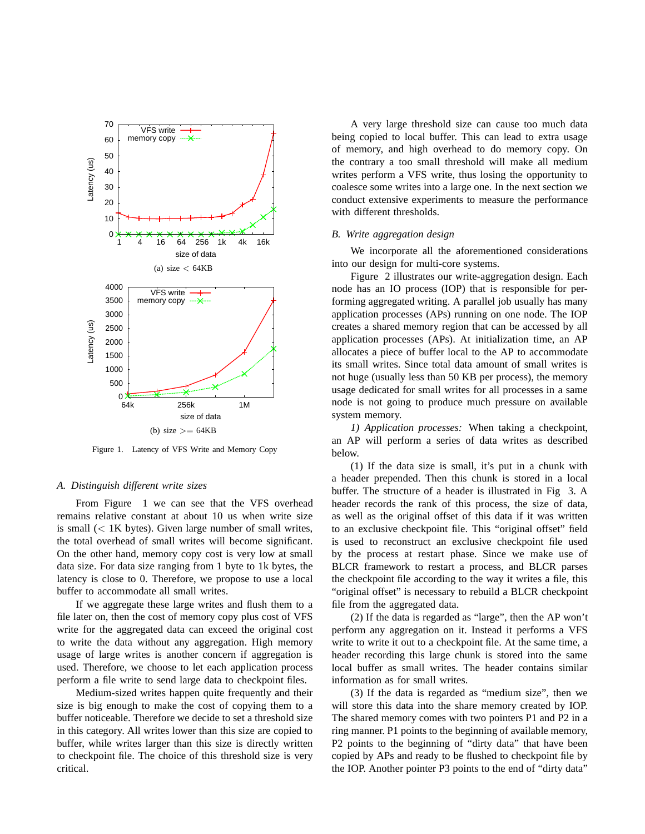

Figure 1. Latency of VFS Write and Memory Copy

## *A. Distinguish different write sizes*

From Figure 1 we can see that the VFS overhead remains relative constant at about 10 us when write size is small  $\langle \langle 1K \rangle$  bytes). Given large number of small writes, the total overhead of small writes will become significant. On the other hand, memory copy cost is very low at small data size. For data size ranging from 1 byte to 1k bytes, the latency is close to 0. Therefore, we propose to use a local buffer to accommodate all small writes.

If we aggregate these large writes and flush them to a file later on, then the cost of memory copy plus cost of VFS write for the aggregated data can exceed the original cost to write the data without any aggregation. High memory usage of large writes is another concern if aggregation is used. Therefore, we choose to let each application process perform a file write to send large data to checkpoint files.

Medium-sized writes happen quite frequently and their size is big enough to make the cost of copying them to a buffer noticeable. Therefore we decide to set a threshold size in this category. All writes lower than this size are copied to buffer, while writes larger than this size is directly written to checkpoint file. The choice of this threshold size is very critical.

A very large threshold size can cause too much data being copied to local buffer. This can lead to extra usage of memory, and high overhead to do memory copy. On the contrary a too small threshold will make all medium writes perform a VFS write, thus losing the opportunity to coalesce some writes into a large one. In the next section we conduct extensive experiments to measure the performance with different thresholds.

#### *B. Write aggregation design*

We incorporate all the aforementioned considerations into our design for multi-core systems.

Figure 2 illustrates our write-aggregation design. Each node has an IO process (IOP) that is responsible for performing aggregated writing. A parallel job usually has many application processes (APs) running on one node. The IOP creates a shared memory region that can be accessed by all application processes (APs). At initialization time, an AP allocates a piece of buffer local to the AP to accommodate its small writes. Since total data amount of small writes is not huge (usually less than 50 KB per process), the memory usage dedicated for small writes for all processes in a same node is not going to produce much pressure on available system memory.

*1) Application processes:* When taking a checkpoint, an AP will perform a series of data writes as described below.

(1) If the data size is small, it's put in a chunk with a header prepended. Then this chunk is stored in a local buffer. The structure of a header is illustrated in Fig 3. A header records the rank of this process, the size of data, as well as the original offset of this data if it was written to an exclusive checkpoint file. This "original offset" field is used to reconstruct an exclusive checkpoint file used by the process at restart phase. Since we make use of BLCR framework to restart a process, and BLCR parses the checkpoint file according to the way it writes a file, this "original offset" is necessary to rebuild a BLCR checkpoint file from the aggregated data.

(2) If the data is regarded as "large", then the AP won't perform any aggregation on it. Instead it performs a VFS write to write it out to a checkpoint file. At the same time, a header recording this large chunk is stored into the same local buffer as small writes. The header contains similar information as for small writes.

(3) If the data is regarded as "medium size", then we will store this data into the share memory created by IOP. The shared memory comes with two pointers P1 and P2 in a ring manner. P1 points to the beginning of available memory, P2 points to the beginning of "dirty data" that have been copied by APs and ready to be flushed to checkpoint file by the IOP. Another pointer P3 points to the end of "dirty data"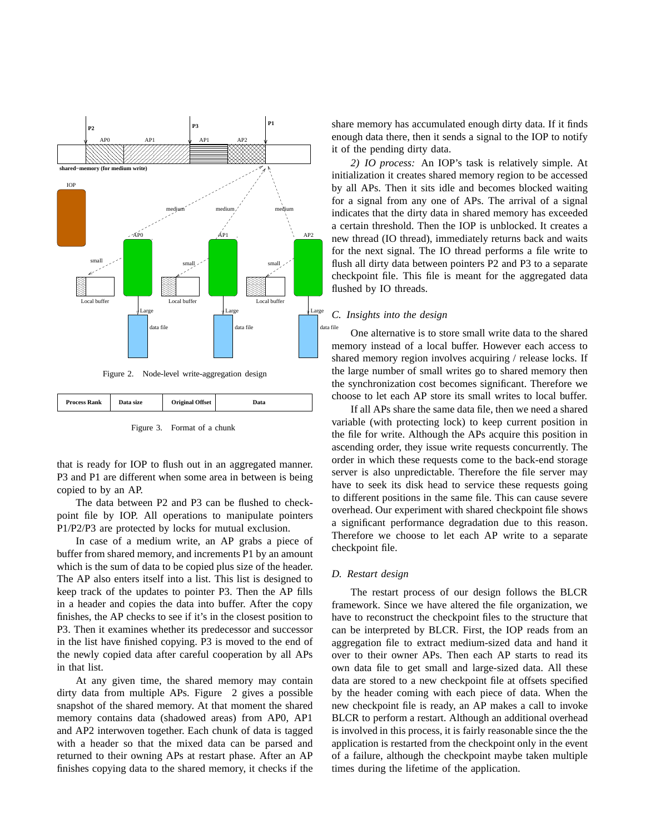

Figure 2. Node-level write-aggregation design



Figure 3. Format of a chunk

that is ready for IOP to flush out in an aggregated manner. P3 and P1 are different when some area in between is being copied to by an AP.

The data between P2 and P3 can be flushed to checkpoint file by IOP. All operations to manipulate pointers P1/P2/P3 are protected by locks for mutual exclusion.

In case of a medium write, an AP grabs a piece of buffer from shared memory, and increments P1 by an amount which is the sum of data to be copied plus size of the header. The AP also enters itself into a list. This list is designed to keep track of the updates to pointer P3. Then the AP fills in a header and copies the data into buffer. After the copy finishes, the AP checks to see if it's in the closest position to P3. Then it examines whether its predecessor and successor in the list have finished copying. P3 is moved to the end of the newly copied data after careful cooperation by all APs in that list.

At any given time, the shared memory may contain dirty data from multiple APs. Figure 2 gives a possible snapshot of the shared memory. At that moment the shared memory contains data (shadowed areas) from AP0, AP1 and AP2 interwoven together. Each chunk of data is tagged with a header so that the mixed data can be parsed and returned to their owning APs at restart phase. After an AP finishes copying data to the shared memory, it checks if the share memory has accumulated enough dirty data. If it finds enough data there, then it sends a signal to the IOP to notify it of the pending dirty data.

*2) IO process:* An IOP's task is relatively simple. At initialization it creates shared memory region to be accessed by all APs. Then it sits idle and becomes blocked waiting for a signal from any one of APs. The arrival of a signal indicates that the dirty data in shared memory has exceeded a certain threshold. Then the IOP is unblocked. It creates a new thread (IO thread), immediately returns back and waits for the next signal. The IO thread performs a file write to flush all dirty data between pointers P2 and P3 to a separate checkpoint file. This file is meant for the aggregated data flushed by IO threads.

## *C. Insights into the design*

One alternative is to store small write data to the shared memory instead of a local buffer. However each access to shared memory region involves acquiring / release locks. If the large number of small writes go to shared memory then the synchronization cost becomes significant. Therefore we choose to let each AP store its small writes to local buffer.

If all APs share the same data file, then we need a shared variable (with protecting lock) to keep current position in the file for write. Although the APs acquire this position in ascending order, they issue write requests concurrently. The order in which these requests come to the back-end storage server is also unpredictable. Therefore the file server may have to seek its disk head to service these requests going to different positions in the same file. This can cause severe overhead. Our experiment with shared checkpoint file shows a significant performance degradation due to this reason. Therefore we choose to let each AP write to a separate checkpoint file.

### *D. Restart design*

The restart process of our design follows the BLCR framework. Since we have altered the file organization, we have to reconstruct the checkpoint files to the structure that can be interpreted by BLCR. First, the IOP reads from an aggregation file to extract medium-sized data and hand it over to their owner APs. Then each AP starts to read its own data file to get small and large-sized data. All these data are stored to a new checkpoint file at offsets specified by the header coming with each piece of data. When the new checkpoint file is ready, an AP makes a call to invoke BLCR to perform a restart. Although an additional overhead is involved in this process, it is fairly reasonable since the the application is restarted from the checkpoint only in the event of a failure, although the checkpoint maybe taken multiple times during the lifetime of the application.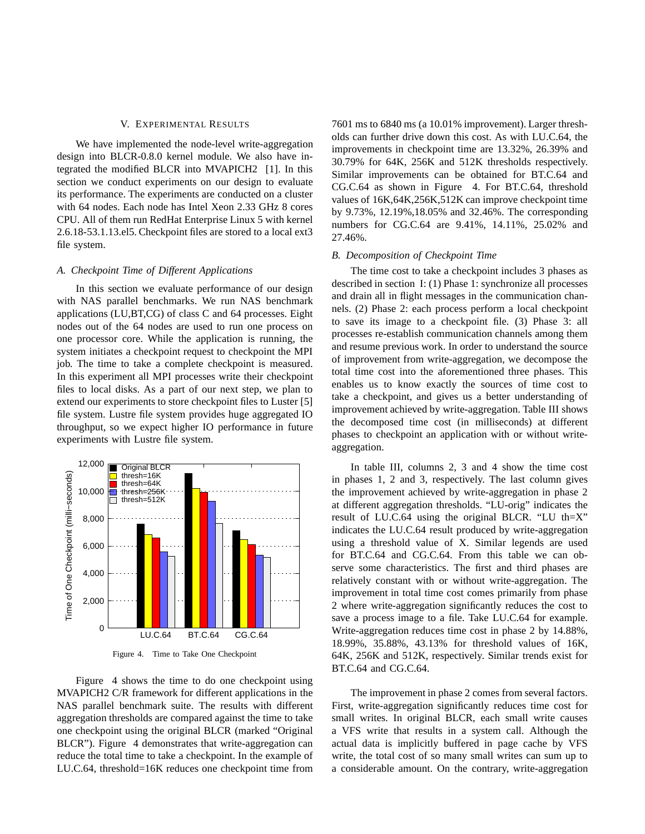## V. EXPERIMENTAL RESULTS

We have implemented the node-level write-aggregation design into BLCR-0.8.0 kernel module. We also have integrated the modified BLCR into MVAPICH2 [1]. In this section we conduct experiments on our design to evaluate its performance. The experiments are conducted on a cluster with 64 nodes. Each node has Intel Xeon 2.33 GHz 8 cores CPU. All of them run RedHat Enterprise Linux 5 with kernel 2.6.18-53.1.13.el5. Checkpoint files are stored to a local ext3 file system.

#### *A. Checkpoint Time of Different Applications*

In this section we evaluate performance of our design with NAS parallel benchmarks. We run NAS benchmark applications (LU,BT,CG) of class C and 64 processes. Eight nodes out of the 64 nodes are used to run one process on one processor core. While the application is running, the system initiates a checkpoint request to checkpoint the MPI job. The time to take a complete checkpoint is measured. In this experiment all MPI processes write their checkpoint files to local disks. As a part of our next step, we plan to extend our experiments to store checkpoint files to Luster [5] file system. Lustre file system provides huge aggregated IO throughput, so we expect higher IO performance in future experiments with Lustre file system.



Figure 4. Time to Take One Checkpoint

Figure 4 shows the time to do one checkpoint using MVAPICH2 C/R framework for different applications in the NAS parallel benchmark suite. The results with different aggregation thresholds are compared against the time to take one checkpoint using the original BLCR (marked "Original BLCR"). Figure 4 demonstrates that write-aggregation can reduce the total time to take a checkpoint. In the example of LU.C.64, threshold=16K reduces one checkpoint time from 7601 ms to 6840 ms (a 10.01% improvement). Larger thresholds can further drive down this cost. As with LU.C.64, the improvements in checkpoint time are 13.32%, 26.39% and 30.79% for 64K, 256K and 512K thresholds respectively. Similar improvements can be obtained for BT.C.64 and CG.C.64 as shown in Figure 4. For BT.C.64, threshold values of 16K,64K,256K,512K can improve checkpoint time by 9.73%, 12.19%,18.05% and 32.46%. The corresponding numbers for CG.C.64 are 9.41%, 14.11%, 25.02% and 27.46%.

## *B. Decomposition of Checkpoint Time*

The time cost to take a checkpoint includes 3 phases as described in section I: (1) Phase 1: synchronize all processes and drain all in flight messages in the communication channels. (2) Phase 2: each process perform a local checkpoint to save its image to a checkpoint file. (3) Phase 3: all processes re-establish communication channels among them and resume previous work. In order to understand the source of improvement from write-aggregation, we decompose the total time cost into the aforementioned three phases. This enables us to know exactly the sources of time cost to take a checkpoint, and gives us a better understanding of improvement achieved by write-aggregation. Table III shows the decomposed time cost (in milliseconds) at different phases to checkpoint an application with or without writeaggregation.

In table III, columns 2, 3 and 4 show the time cost in phases 1, 2 and 3, respectively. The last column gives the improvement achieved by write-aggregation in phase 2 at different aggregation thresholds. "LU-orig" indicates the result of LU.C.64 using the original BLCR. "LU th=X" indicates the LU.C.64 result produced by write-aggregation using a threshold value of X. Similar legends are used for BT.C.64 and CG.C.64. From this table we can observe some characteristics. The first and third phases are relatively constant with or without write-aggregation. The improvement in total time cost comes primarily from phase 2 where write-aggregation significantly reduces the cost to save a process image to a file. Take LU.C.64 for example. Write-aggregation reduces time cost in phase 2 by 14.88%, 18.99%, 35.88%, 43.13% for threshold values of 16K, 64K, 256K and 512K, respectively. Similar trends exist for BT.C.64 and CG.C.64.

The improvement in phase 2 comes from several factors. First, write-aggregation significantly reduces time cost for small writes. In original BLCR, each small write causes a VFS write that results in a system call. Although the actual data is implicitly buffered in page cache by VFS write, the total cost of so many small writes can sum up to a considerable amount. On the contrary, write-aggregation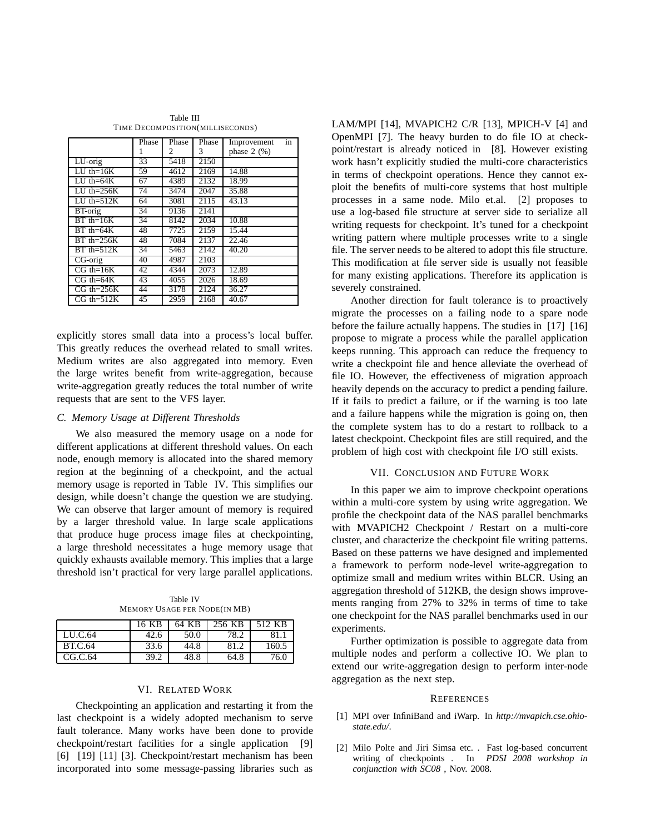Table III TIME DECOMPOSITION(MILLISECONDS)

|                       | Phase | Phase | Phase | $\overline{\text{in}}$<br>Improvement |
|-----------------------|-------|-------|-------|---------------------------------------|
|                       | 1     | 2     | 3     | phase $2(%)$                          |
| $\overline{LU}$ -orig | 33    | 5418  | 2150  |                                       |
| $LI$ th=16 $K$        | 59    | 4612  | 2169  | 14.88                                 |
| $LUth=64K$            | 67    | 4389  | 2132  | 18.99                                 |
| LU th= $256K$         | 74    | 3474  | 2047  | 35.88                                 |
| LU th= $512K$         | 64    | 3081  | 2115  | 43.13                                 |
| <b>BT-orig</b>        | 34    | 9136  | 2141  |                                       |
| $BT$ th=16 $K$        | 34    | 8142  | 2034  | 10.88                                 |
| $BTth=64K$            | 48    | 7725  | 2159  | 15.44                                 |
| $BT$ th= $256K$       | 48    | 7084  | 2137  | 22.46                                 |
| $BT$ th= $512K$       | 34    | 5463  | 2142  | 40.20                                 |
| CG-orig               | 40    | 4987  | 2103  |                                       |
| $CG th=16K$           | 42    | 4344  | 2073  | 12.89                                 |
| $CG th=64K$           | 43    | 4055  | 2026  | 18.69                                 |
| $CG th=256K$          | 44    | 3178  | 2124  | 36.27                                 |
| $CG th=512K$          | 45    | 2959  | 2168  | 40.67                                 |

explicitly stores small data into a process's local buffer. This greatly reduces the overhead related to small writes. Medium writes are also aggregated into memory. Even the large writes benefit from write-aggregation, because write-aggregation greatly reduces the total number of write requests that are sent to the VFS layer.

# *C. Memory Usage at Different Thresholds*

We also measured the memory usage on a node for different applications at different threshold values. On each node, enough memory is allocated into the shared memory region at the beginning of a checkpoint, and the actual memory usage is reported in Table IV. This simplifies our design, while doesn't change the question we are studying. We can observe that larger amount of memory is required by a larger threshold value. In large scale applications that produce huge process image files at checkpointing, a large threshold necessitates a huge memory usage that quickly exhausts available memory. This implies that a large threshold isn't practical for very large parallel applications.

Table IV MEMORY USAGE PER NODE(IN MB)

|                | 16 KB | 64 KB | 256 KB | 512 KB |
|----------------|-------|-------|--------|--------|
| LU.C.64        | 42.6  | 50.0  | 78.2   | 81.1   |
| <b>BT.C.64</b> | 33.6  | 44.8  | 81.2   | 160.5  |
| CG.C.64        | 39.2  | 48.8  | 64.8   | 76.0   |

# VI. RELATED WORK

Checkpointing an application and restarting it from the last checkpoint is a widely adopted mechanism to serve fault tolerance. Many works have been done to provide checkpoint/restart facilities for a single application [9] [6] [19] [11] [3]. Checkpoint/restart mechanism has been incorporated into some message-passing libraries such as LAM/MPI [14], MVAPICH2 C/R [13], MPICH-V [4] and OpenMPI [7]. The heavy burden to do file IO at checkpoint/restart is already noticed in [8]. However existing work hasn't explicitly studied the multi-core characteristics in terms of checkpoint operations. Hence they cannot exploit the benefits of multi-core systems that host multiple processes in a same node. Milo et.al. [2] proposes to use a log-based file structure at server side to serialize all writing requests for checkpoint. It's tuned for a checkpoint writing pattern where multiple processes write to a single file. The server needs to be altered to adopt this file structure. This modification at file server side is usually not feasible for many existing applications. Therefore its application is severely constrained.

Another direction for fault tolerance is to proactively migrate the processes on a failing node to a spare node before the failure actually happens. The studies in [17] [16] propose to migrate a process while the parallel application keeps running. This approach can reduce the frequency to write a checkpoint file and hence alleviate the overhead of file IO. However, the effectiveness of migration approach heavily depends on the accuracy to predict a pending failure. If it fails to predict a failure, or if the warning is too late and a failure happens while the migration is going on, then the complete system has to do a restart to rollback to a latest checkpoint. Checkpoint files are still required, and the problem of high cost with checkpoint file I/O still exists.

## VII. CONCLUSION AND FUTURE WORK

In this paper we aim to improve checkpoint operations within a multi-core system by using write aggregation. We profile the checkpoint data of the NAS parallel benchmarks with MVAPICH2 Checkpoint / Restart on a multi-core cluster, and characterize the checkpoint file writing patterns. Based on these patterns we have designed and implemented a framework to perform node-level write-aggregation to optimize small and medium writes within BLCR. Using an aggregation threshold of 512KB, the design shows improvements ranging from 27% to 32% in terms of time to take one checkpoint for the NAS parallel benchmarks used in our experiments.

Further optimization is possible to aggregate data from multiple nodes and perform a collective IO. We plan to extend our write-aggregation design to perform inter-node aggregation as the next step.

## **REFERENCES**

- [1] MPI over InfiniBand and iWarp. In *http://mvapich.cse.ohiostate.edu/*.
- [2] Milo Polte and Jiri Simsa etc. . Fast log-based concurrent writing of checkpoints . In *PDSI 2008 workshop in conjunction with SC08* , Nov. 2008.